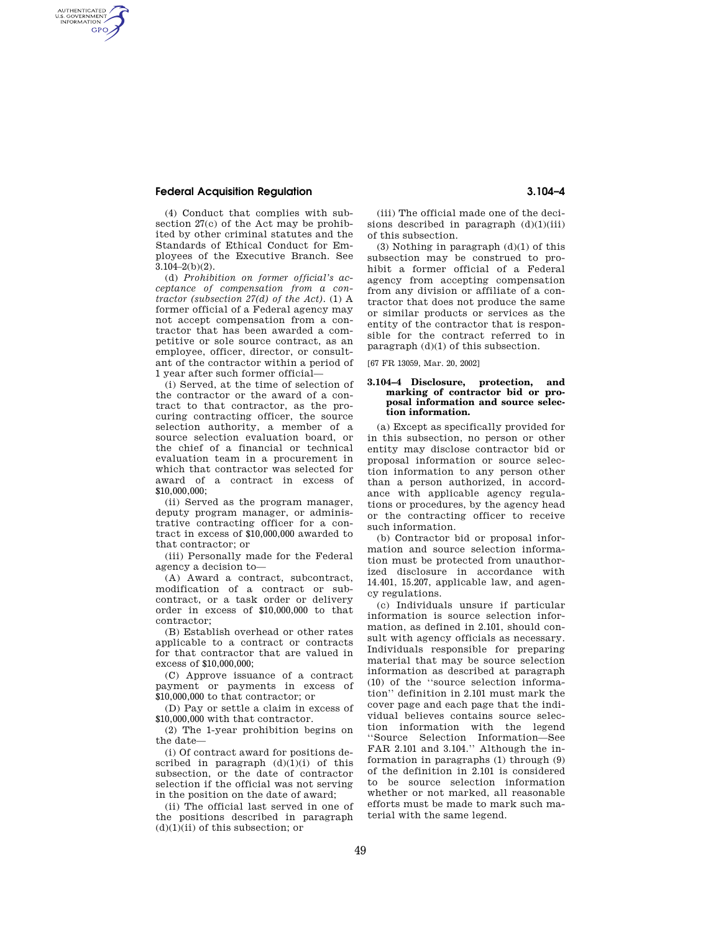## **Federal Acquisition Regulation 3.104–4**

AUTHENTICATED<br>U.S. GOVERNMENT<br>INFORMATION GPO

> (4) Conduct that complies with subsection 27(c) of the Act may be prohibited by other criminal statutes and the Standards of Ethical Conduct for Employees of the Executive Branch. See  $3.104 - 2(b)(2)$ .

> (d) *Prohibition on former official's acceptance of compensation from a contractor (subsection 27(d) of the Act).* (1) A former official of a Federal agency may not accept compensation from a contractor that has been awarded a competitive or sole source contract, as an employee, officer, director, or consultant of the contractor within a period of 1 year after such former official—

> (i) Served, at the time of selection of the contractor or the award of a contract to that contractor, as the procuring contracting officer, the source selection authority, a member of a source selection evaluation board, or the chief of a financial or technical evaluation team in a procurement in which that contractor was selected for award of a contract in excess of \$10,000,000;

> (ii) Served as the program manager, deputy program manager, or administrative contracting officer for a contract in excess of \$10,000,000 awarded to that contractor; or

> (iii) Personally made for the Federal agency a decision to—

(A) Award a contract, subcontract, modification of a contract or subcontract, or a task order or delivery order in excess of \$10,000,000 to that contractor;

(B) Establish overhead or other rates applicable to a contract or contracts for that contractor that are valued in excess of \$10,000,000;

(C) Approve issuance of a contract payment or payments in excess of \$10,000,000 to that contractor; or

(D) Pay or settle a claim in excess of \$10,000,000 with that contractor.

(2) The 1-year prohibition begins on the date—

(i) Of contract award for positions described in paragraph  $(d)(1)(i)$  of this subsection, or the date of contractor selection if the official was not serving in the position on the date of award;

(ii) The official last served in one of the positions described in paragraph  $(d)(1)(ii)$  of this subsection; or

(iii) The official made one of the decisions described in paragraph  $(d)(1)(iii)$ of this subsection.

(3) Nothing in paragraph (d)(1) of this subsection may be construed to prohibit a former official of a Federal agency from accepting compensation from any division or affiliate of a contractor that does not produce the same or similar products or services as the entity of the contractor that is responsible for the contract referred to in paragraph (d)(1) of this subsection.

[67 FR 13059, Mar. 20, 2002]

## **3.104–4 Disclosure, protection, and marking of contractor bid or proposal information and source selection information.**

(a) Except as specifically provided for in this subsection, no person or other entity may disclose contractor bid or proposal information or source selection information to any person other than a person authorized, in accordance with applicable agency regulations or procedures, by the agency head or the contracting officer to receive such information.

(b) Contractor bid or proposal information and source selection information must be protected from unauthorized disclosure in accordance with 14.401, 15.207, applicable law, and agency regulations.

(c) Individuals unsure if particular information is source selection information, as defined in 2.101, should consult with agency officials as necessary. Individuals responsible for preparing material that may be source selection information as described at paragraph (10) of the ''source selection information'' definition in 2.101 must mark the cover page and each page that the individual believes contains source selection information with the legend ''Source Selection Information—See FAR 2.101 and 3.104." Although the information in paragraphs (1) through (9) of the definition in 2.101 is considered to be source selection information whether or not marked, all reasonable efforts must be made to mark such material with the same legend.